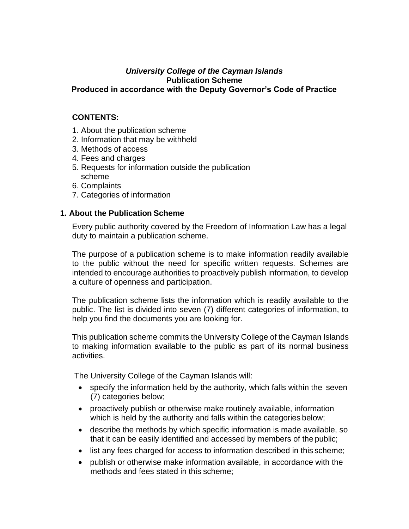#### *University College of the Cayman Islands* **Publication Scheme Produced in accordance with the Deputy Governor's Code of Practice**

## **CONTENTS:**

- 1. About the publication scheme
- 2. Information that may be withheld
- 3. Methods of access
- 4. Fees and charges
- 5. Requests for information outside the publication scheme
- 6. Complaints
- 7. Categories of information

## **1. About the Publication Scheme**

Every public authority covered by the Freedom of Information Law has a legal duty to maintain a publication scheme.

The purpose of a publication scheme is to make information readily available to the public without the need for specific written requests. Schemes are intended to encourage authorities to proactively publish information, to develop a culture of openness and participation.

The publication scheme lists the information which is readily available to the public. The list is divided into seven (7) different categories of information, to help you find the documents you are looking for.

This publication scheme commits the University College of the Cayman Islands to making information available to the public as part of its normal business activities.

The University College of the Cayman Islands will:

- specify the information held by the authority, which falls within the seven (7) categories below;
- proactively publish or otherwise make routinely available, information which is held by the authority and falls within the categories below;
- describe the methods by which specific information is made available, so that it can be easily identified and accessed by members of the public;
- list any fees charged for access to information described in this scheme;
- publish or otherwise make information available, in accordance with the methods and fees stated in this scheme;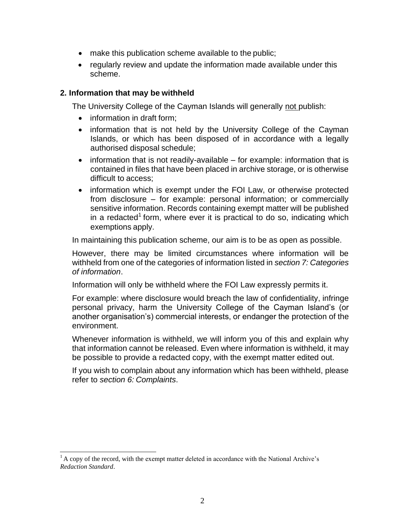- make this publication scheme available to the public;
- regularly review and update the information made available under this scheme.

### **2. Information that may be withheld**

The University College of the Cayman Islands will generally not publish:

- information in draft form;
- information that is not held by the University College of the Cayman Islands, or which has been disposed of in accordance with a legally authorised disposal schedule;
- information that is not readily-available for example: information that is contained in files that have been placed in archive storage, or is otherwise difficult to access;
- information which is exempt under the FOI Law, or otherwise protected from disclosure – for example: personal information; or commercially sensitive information. Records containing exempt matter will be published in a redacted<sup>[1](#page-1-0)</sup> form, where ever it is practical to do so, indicating which exemptions apply.

In maintaining this publication scheme, our aim is to be as open as possible.

However, there may be limited circumstances where information will be withheld from one of the categories of information listed in *section 7: Categories of information*.

Information will only be withheld where the FOI Law expressly permits it.

For example: where disclosure would breach the law of confidentiality, infringe personal privacy, harm the University College of the Cayman Island's (or another organisation's) commercial interests, or endanger the protection of the environment.

Whenever information is withheld, we will inform you of this and explain why that information cannot be released. Even where information is withheld, it may be possible to provide a redacted copy, with the exempt matter edited out.

If you wish to complain about any information which has been withheld, please refer to *section 6: Complaints*.

<span id="page-1-0"></span> $<sup>1</sup>$ A copy of the record, with the exempt matter deleted in accordance with the National Archive's</sup> *Redaction Standard*.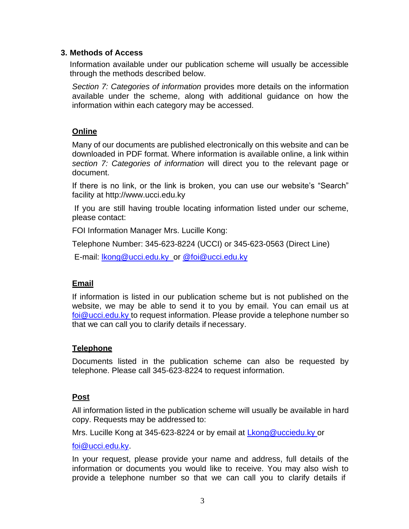## **3. Methods of Access**

Information available under our publication scheme will usually be accessible through the methods described below.

*Section 7: Categories of information* provides more details on the information available under the scheme, along with additional guidance on how the information within each category may be accessed.

# **Online**

Many of our documents are published electronically on this website and can be downloaded in PDF format. Where information is available online, a link within *section 7: Categories of information* will direct you to the relevant page or document.

If there is no link, or the link is broken, you can use our website's "Search" facility at [http://www.ucci.edu.ky](http://www.ucci.edu.ky/)

If you are still having trouble locating information listed under our scheme, please contact:

FOI Information Manager Mrs. Lucille Kong:

Telephone Number: 345-623-8224 (UCCI) or 345-623-0563 (Direct Line)

E-mail: [lkong@ucci.edu.ky](mailto:lkong@ucci.edu.ky) or [@foi@ucci.edu.ky](mailto:or@foi@ucci.edu.ky)

# **Email**

If information is listed in our publication scheme but is not published on the website, we may be able to send it to you by email. You can email us at [foi@ucci.edu.ky t](mailto:foi@ucci.edu.ky)o request information. Please provide a telephone number so that we can call you to clarify details if necessary.

# **Telephone**

Documents listed in the publication scheme can also be requested by telephone. Please call 345-623-8224 to request information.

# **Post**

All information listed in the publication scheme will usually be available in hard copy. Requests may be addressed to:

Mrs. Lucille Kong at 345-623-8224 or by email at [Lkong@ucciedu.ky o](mailto:Lkong@ucciedu.ky)r

[foi@ucci.edu.ky.](mailto:foi@ucci.edu.ky)

In your request, please provide your name and address, full details of the information or documents you would like to receive. You may also wish to provide a telephone number so that we can call you to clarify details if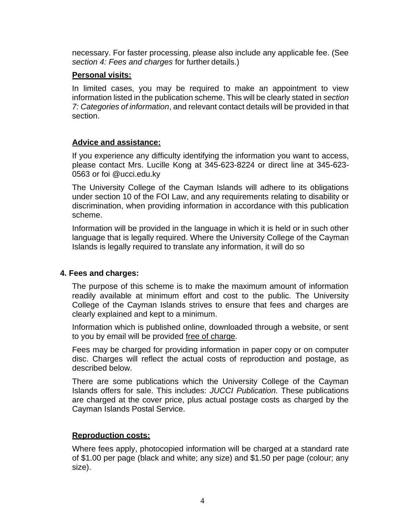necessary. For faster processing, please also include any applicable fee. (See *section 4: Fees and charges* for further details.)

### **Personal visits:**

In limited cases, you may be required to make an appointment to view information listed in the publication scheme. This will be clearly stated in *section 7: Categories of information*, and relevant contact details will be provided in that section.

## **Advice and assistance:**

If you experience any difficulty identifying the information you want to access, please contact Mrs. Lucille Kong at 345-623-8224 or direct line at 345-623- 0563 or foi @ucci.edu.ky

The University College of the Cayman Islands will adhere to its obligations under section 10 of the FOI Law, and any requirements relating to disability or discrimination, when providing information in accordance with this publication scheme.

Information will be provided in the language in which it is held or in such other language that is legally required. Where the University College of the Cayman Islands is legally required to translate any information, it will do so

# **4. Fees and charges:**

The purpose of this scheme is to make the maximum amount of information readily available at minimum effort and cost to the public. The University College of the Cayman Islands strives to ensure that fees and charges are clearly explained and kept to a minimum.

Information which is published online, downloaded through a website, or sent to you by email will be provided free of charge.

Fees may be charged for providing information in paper copy or on computer disc. Charges will reflect the actual costs of reproduction and postage, as described below.

There are some publications which the University College of the Cayman Islands offers for sale. This includes: *JUCCI Publication.* These publications are charged at the cover price, plus actual postage costs as charged by the Cayman Islands Postal Service.

### **Reproduction costs:**

Where fees apply, photocopied information will be charged at a standard rate of \$1.00 per page (black and white; any size) and \$1.50 per page (colour; any size).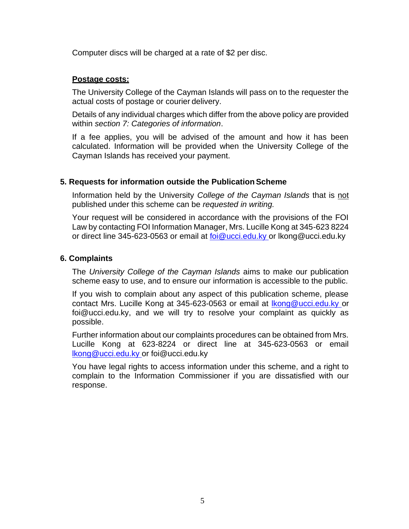Computer discs will be charged at a rate of \$2 per disc.

### **Postage costs:**

The University College of the Cayman Islands will pass on to the requester the actual costs of postage or courier delivery.

Details of any individual charges which differ from the above policy are provided within *section 7: Categories of information*.

If a fee applies, you will be advised of the amount and how it has been calculated. Information will be provided when the University College of the Cayman Islands has received your payment.

## **5. Requests for information outside the PublicationScheme**

Information held by the University *College of the Cayman Islands* that is not published under this scheme can be *requested in writing.*

Your request will be considered in accordance with the provisions of the FOI Law by contacting FOI Information Manager, Mrs. Lucille Kong at 345-623 8224 or direct line 345-623-0563 or email at [foi@ucci.edu.ky](mailto:foi@ucci.edu.ky) or [lkong@ucci.edu.ky](mailto:lkong@ucci.edu.ky)

### **6. Complaints**

The *University College of the Cayman Islands* aims to make our publication scheme easy to use, and to ensure our information is accessible to the public.

If you wish to complain about any aspect of this publication scheme, please contact Mrs. Lucille Kong at 345-623-0563 or email at **Ikong@ucci.edu.ky** or [foi@ucci.edu.ky,](mailto:foi@ucci.edu.ky) and we will try to resolve your complaint as quickly as possible.

Further information about our complaints procedures can be obtained from Mrs. Lucille Kong at 623-8224 or direct line at 345-623-0563 or email [lkong@ucci.edu.ky o](mailto:lkong@ucci.edu.ky)r [foi@ucci.edu.ky](mailto:foi@ucci.edu.ky)

You have legal rights to access information under this scheme, and a right to complain to the Information Commissioner if you are dissatisfied with our response.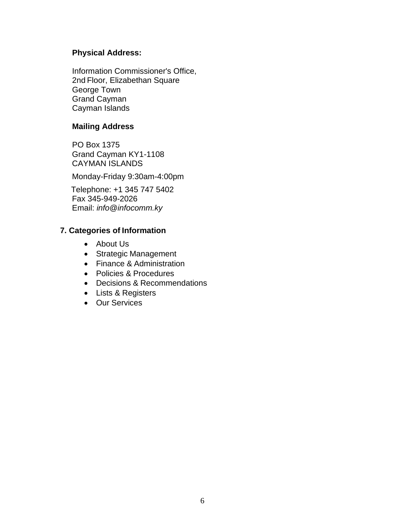# **Physical Address:**

Information Commissioner's Office, 2nd Floor, Elizabethan Square George Town Grand Cayman Cayman Islands

# **Mailing Address**

PO Box 1375 Grand Cayman KY1-1108 CAYMAN ISLANDS

Monday-Friday 9:30am-4:00pm

Telephone: +1 345 747 5402 Fax 345-949-2026 Email: *[info@infocomm.ky](mailto:info@infocomm.ky)*

# **7. Categories of Information**

- About Us
- Strategic Management
- Finance & Administration
- Policies & Procedures
- Decisions & Recommendations
- Lists & Registers
- Our Services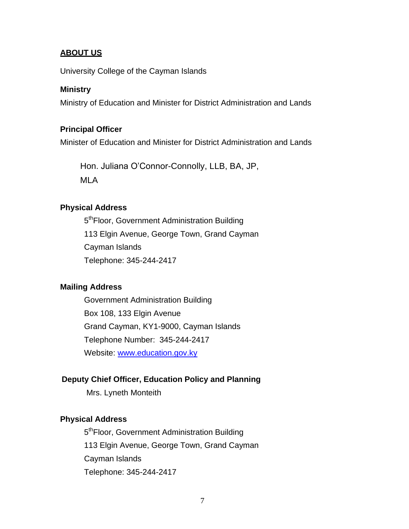### **ABOUT US**

University College of the Cayman Islands

#### **Ministry**

Ministry of Education and Minister for District Administration and Lands

#### **Principal Officer**

Minister of Education and Minister for District Administration and Lands

Hon. Juliana O'Connor-Connolly, LLB, BA, JP, MLA

#### **Physical Address**

5<sup>th</sup>Floor, Government Administration Building 113 Elgin Avenue, George Town, Grand Cayman Cayman Islands Telephone: 345-244-2417

#### **Mailing Address**

Government Administration Building Box 108, 133 Elgin Avenue Grand Cayman, KY1-9000, Cayman Islands Telephone Number: 345-244-2417 Website: [www.education.gov.ky](http://www.education.gov.ky/)

#### **Deputy Chief Officer, Education Policy and Planning**

Mrs. Lyneth Monteith

#### **Physical Address**

5<sup>th</sup>Floor, Government Administration Building 113 Elgin Avenue, George Town, Grand Cayman Cayman Islands Telephone: 345-244-2417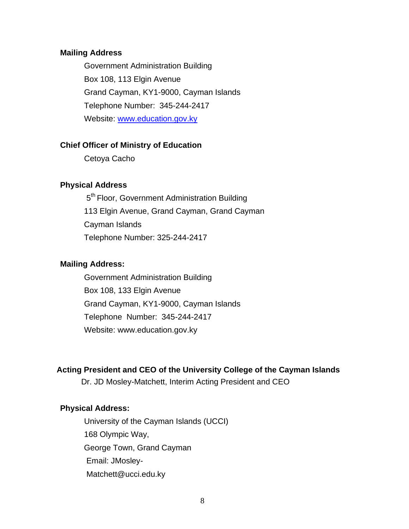#### **Mailing Address**

Government Administration Building Box 108, 113 Elgin Avenue Grand Cayman, KY1-9000, Cayman Islands Telephone Number: 345-244-2417 Website: [www.education.gov.ky](http://www.education.gov.ky/)

#### **Chief Officer of Ministry of Education**

Cetoya Cacho

### **Physical Address**

5<sup>th</sup> Floor, Government Administration Building 113 Elgin Avenue, Grand Cayman, Grand Cayman Cayman Islands Telephone Number: 325-244-2417

#### **Mailing Address:**

Government Administration Building Box 108, 133 Elgin Avenue Grand Cayman, KY1-9000, Cayman Islands Telephone Number: 345-244-2417 Website: [www.education.gov.ky](http://www.education.gov.ky/)

#### **Acting President and CEO of the University College of the Cayman Islands**

Dr. JD Mosley-Matchett, Interim Acting President and CEO

#### **Physical Address:**

University of the Cayman Islands (UCCI) 168 Olympic Way, George Town, Grand Cayman Email: JMosley-Matchett@ucci.edu.ky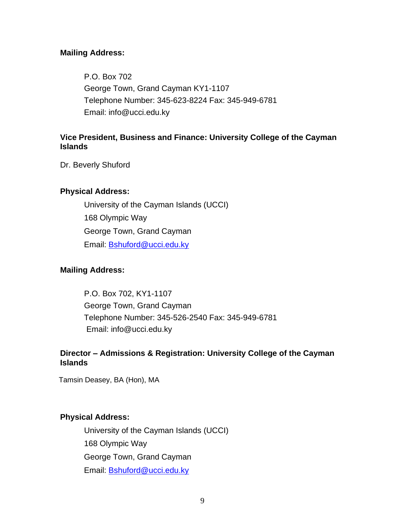### **Mailing Address:**

P.O. Box 702 George Town, Grand Cayman KY1-1107 Telephone Number: 345-623-8224 Fax: 345-949-6781 Email: [info@ucci.edu.ky](mailto:info@ucci.edu.ky)

### **Vice President, Business and Finance: University College of the Cayman Islands**

Dr. Beverly Shuford

### **Physical Address:**

University of the Cayman Islands (UCCI) 168 Olympic Way George Town, Grand Cayman Email: [Bshuford@ucci.edu.ky](mailto:Bshuford@ucci.edu.ky)

### **Mailing Address:**

P.O. Box 702, KY1-1107 George Town, Grand Cayman Telephone Number: 345-526-2540 Fax: 345-949-6781 Email: [info@ucci.edu.ky](mailto:info@ucci.edu.ky)

## **Director – Admissions & Registration: University College of the Cayman Islands**

Tamsin Deasey, BA (Hon), MA

### **Physical Address:**

University of the Cayman Islands (UCCI) 168 Olympic Way George Town, Grand Cayman Email: [Bshuford@ucci.edu.ky](mailto:Bshuford@ucci.edu.ky)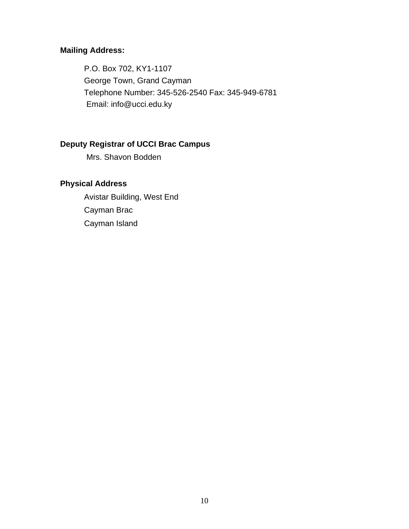# **Mailing Address:**

P.O. Box 702, KY1-1107 George Town, Grand Cayman Telephone Number: 345-526-2540 Fax: 345-949-6781 Email: [info@ucci.edu.ky](mailto:info@ucci.edu.ky)

# **Deputy Registrar of UCCI Brac Campus**

Mrs. Shavon Bodden

# **Physical Address**

Avistar Building, West End Cayman Brac Cayman Island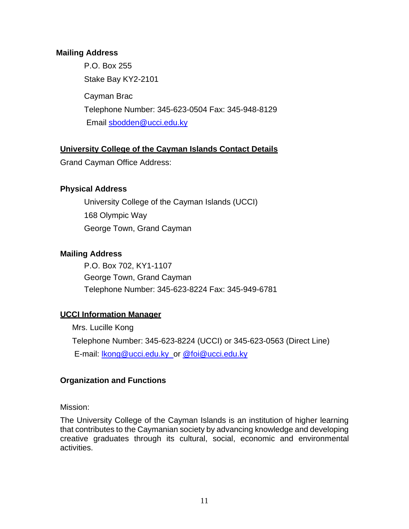## **Mailing Address**

P.O. Box 255 Stake Bay KY2-2101 Cayman Brac Telephone Number: 345-623-0504 Fax: 345-948-8129 Email [sbodden@ucci.edu.ky](mailto:sbodden@ucci.edu.ky)

## **University College of the Cayman Islands Contact Details**

Grand Cayman Office Address:

## **Physical Address**

University College of the Cayman Islands (UCCI) 168 Olympic Way George Town, Grand Cayman

## **Mailing Address**

P.O. Box 702, KY1-1107 George Town, Grand Cayman Telephone Number: 345-623-8224 Fax: 345-949-6781

# **UCCI Information Manager**

Mrs. Lucille Kong Telephone Number: 345-623-8224 (UCCI) or 345-623-0563 (Direct Line) E-mail: [lkong@ucci.edu.ky](mailto:lkong@ucci.edu.ky) or [@foi@ucci.edu.ky](mailto:or@foi@ucci.edu.ky)

# **Organization and Functions**

Mission:

The University College of the Cayman Islands is an institution of higher learning that contributes to the Caymanian society by advancing knowledge and developing creative graduates through its cultural, social, economic and environmental activities.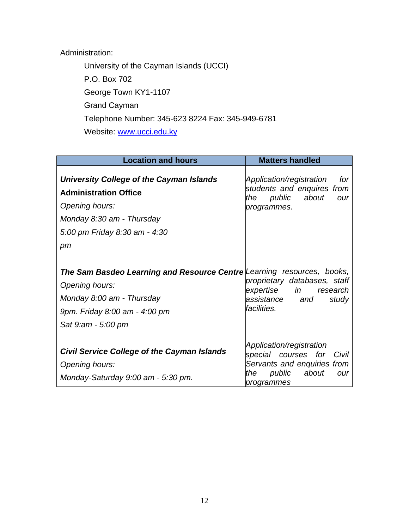# Administration:

University of the Cayman Islands (UCCI) P.O. Box 702 George Town KY1-1107 Grand Cayman Telephone Number: 345-623 8224 Fax: 345-949-6781 Website: [www.ucci.edu.ky](http://www.ucci.edu.ky/)

| <b>Location and hours</b>                                                                                                                                                    | <b>Matters handled</b>                                                                                                           |
|------------------------------------------------------------------------------------------------------------------------------------------------------------------------------|----------------------------------------------------------------------------------------------------------------------------------|
| University College of the Cayman Islands<br><b>Administration Office</b><br>Opening hours:<br>Monday 8:30 am - Thursday<br>5:00 pm Friday 8:30 am - 4:30<br>pm               | Application/registration<br>for<br>students and enquires from<br>public about<br>the<br>our<br>programmes.                       |
| The Sam Basdeo Learning and Resource Centre Learning resources, books,<br>Opening hours:<br>Monday 8:00 am - Thursday<br>9pm. Friday 8:00 am - 4:00 pm<br>Sat 9:am - 5:00 pm | proprietary databases, staff<br>expertise in research<br>assistance and<br>study<br>facilities.                                  |
| <b>Civil Service College of the Cayman Islands</b><br>Opening hours:<br>Monday-Saturday 9:00 am - 5:30 pm.                                                                   | Application/registration<br>special courses for Civil<br>Servants and enquiries from<br>public about<br>the<br>our<br>programmes |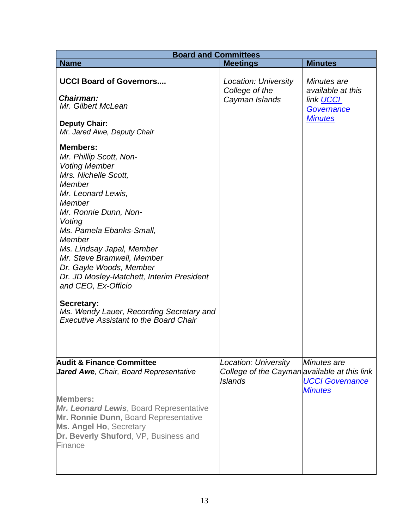| <b>Board and Committees</b>                                                                                                                                                                                                                                                                                                                                                                                                                                                        |                                                                                        |                                                                                      |  |  |  |
|------------------------------------------------------------------------------------------------------------------------------------------------------------------------------------------------------------------------------------------------------------------------------------------------------------------------------------------------------------------------------------------------------------------------------------------------------------------------------------|----------------------------------------------------------------------------------------|--------------------------------------------------------------------------------------|--|--|--|
| <b>Name</b>                                                                                                                                                                                                                                                                                                                                                                                                                                                                        | <b>Meetings</b>                                                                        | <b>Minutes</b>                                                                       |  |  |  |
| <b>UCCI Board of Governors</b><br>Chairman:<br>Mr. Gilbert McLean                                                                                                                                                                                                                                                                                                                                                                                                                  | Location: University<br>College of the<br>Cayman Islands                               | Minutes are<br>available at this<br>link <b>UCCI</b><br>Governance<br><b>Minutes</b> |  |  |  |
| <b>Deputy Chair:</b><br>Mr. Jared Awe, Deputy Chair                                                                                                                                                                                                                                                                                                                                                                                                                                |                                                                                        |                                                                                      |  |  |  |
| <b>Members:</b><br>Mr. Phillip Scott, Non-<br><b>Voting Member</b><br>Mrs. Nichelle Scott,<br>Member<br>Mr. Leonard Lewis,<br>Member<br>Mr. Ronnie Dunn, Non-<br>Voting<br>Ms. Pamela Ebanks-Small,<br>Member<br>Ms. Lindsay Japal, Member<br>Mr. Steve Bramwell, Member<br>Dr. Gayle Woods, Member<br>Dr. JD Mosley-Matchett, Interim President<br>and CEO, Ex-Officio<br>Secretary:<br>Ms. Wendy Lauer, Recording Secretary and<br><b>Executive Assistant to the Board Chair</b> |                                                                                        |                                                                                      |  |  |  |
| <b>Audit &amp; Finance Committee</b><br>Jared Awe, Chair, Board Representative<br><b>Members:</b><br><b>Mr. Leonard Lewis, Board Representative</b><br>Mr. Ronnie Dunn, Board Representative<br><b>Ms. Angel Ho, Secretary</b>                                                                                                                                                                                                                                                     | Location: University<br>College of the Cayman available at this link<br><b>Islands</b> | Minutes are<br><b>UCCI Governance</b><br><b>Minutes</b>                              |  |  |  |
| Dr. Beverly Shuford, VP, Business and<br>Finance                                                                                                                                                                                                                                                                                                                                                                                                                                   |                                                                                        |                                                                                      |  |  |  |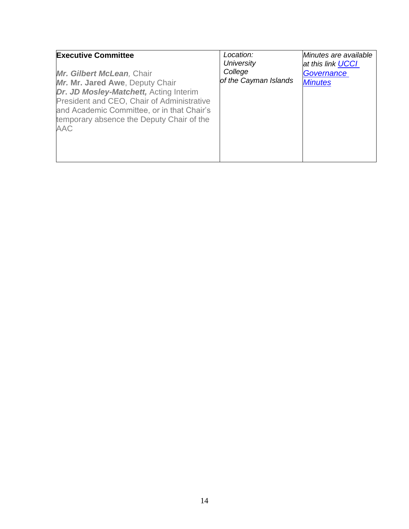| <b>Executive Committee</b><br>Mr. Gilbert McLean, Chair<br>Mr. Mr. Jared Awe, Deputy Chair<br>Dr. JD Mosley-Matchett, Acting Interim<br>President and CEO, Chair of Administrative<br>and Academic Committee, or in that Chair's<br>temporary absence the Deputy Chair of the | Location:<br><b>University</b><br>College<br>of the Cayman Islands | Minutes are available<br>at this link <b>UCCI</b><br>Governance<br><b>Minutes</b> |
|-------------------------------------------------------------------------------------------------------------------------------------------------------------------------------------------------------------------------------------------------------------------------------|--------------------------------------------------------------------|-----------------------------------------------------------------------------------|
| <b>AAC</b>                                                                                                                                                                                                                                                                    |                                                                    |                                                                                   |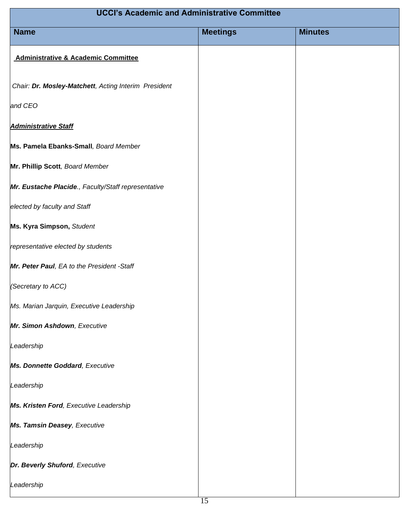| <b>UCCI's Academic and Administrative Committee</b>  |                 |                |  |
|------------------------------------------------------|-----------------|----------------|--|
| <b>Name</b>                                          | <b>Meetings</b> | <b>Minutes</b> |  |
| <b>Administrative &amp; Academic Committee</b>       |                 |                |  |
| Chair: Dr. Mosley-Matchett, Acting Interim President |                 |                |  |
| and CEO                                              |                 |                |  |
| <b>Administrative Staff</b>                          |                 |                |  |
| Ms. Pamela Ebanks-Small, Board Member                |                 |                |  |
| Mr. Phillip Scott, Board Member                      |                 |                |  |
| Mr. Eustache Placide., Faculty/Staff representative  |                 |                |  |
| elected by faculty and Staff                         |                 |                |  |
| Ms. Kyra Simpson, Student                            |                 |                |  |
| representative elected by students                   |                 |                |  |
| Mr. Peter Paul, EA to the President -Staff           |                 |                |  |
| (Secretary to ACC)                                   |                 |                |  |
| Ms. Marian Jarquin, Executive Leadership             |                 |                |  |
| Mr. Simon Ashdown, Executive                         |                 |                |  |
| Leadership                                           |                 |                |  |
| Ms. Donnette Goddard, Executive                      |                 |                |  |
| Leadership                                           |                 |                |  |
| Ms. Kristen Ford, Executive Leadership               |                 |                |  |
| Ms. Tamsin Deasey, Executive                         |                 |                |  |
| Leadership                                           |                 |                |  |
| Dr. Beverly Shuford, Executive                       |                 |                |  |
| Leadership                                           |                 |                |  |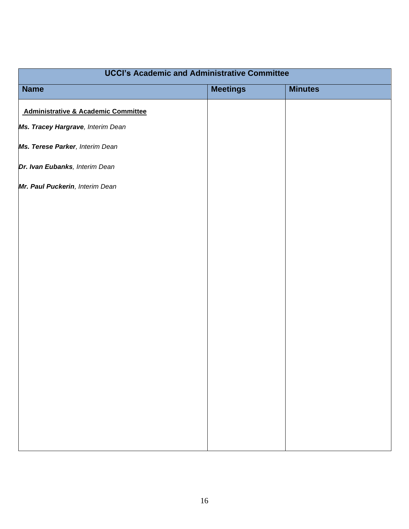| <b>UCCI's Academic and Administrative Committee</b> |                 |                |  |  |
|-----------------------------------------------------|-----------------|----------------|--|--|
| <b>Name</b>                                         | <b>Meetings</b> | <b>Minutes</b> |  |  |
| <b>Administrative &amp; Academic Committee</b>      |                 |                |  |  |
| Ms. Tracey Hargrave, Interim Dean                   |                 |                |  |  |
| Ms. Terese Parker, Interim Dean                     |                 |                |  |  |
| Dr. Ivan Eubanks, Interim Dean                      |                 |                |  |  |
| Mr. Paul Puckerin, Interim Dean                     |                 |                |  |  |
|                                                     |                 |                |  |  |
|                                                     |                 |                |  |  |
|                                                     |                 |                |  |  |
|                                                     |                 |                |  |  |
|                                                     |                 |                |  |  |
|                                                     |                 |                |  |  |
|                                                     |                 |                |  |  |
|                                                     |                 |                |  |  |
|                                                     |                 |                |  |  |
|                                                     |                 |                |  |  |
|                                                     |                 |                |  |  |
|                                                     |                 |                |  |  |
|                                                     |                 |                |  |  |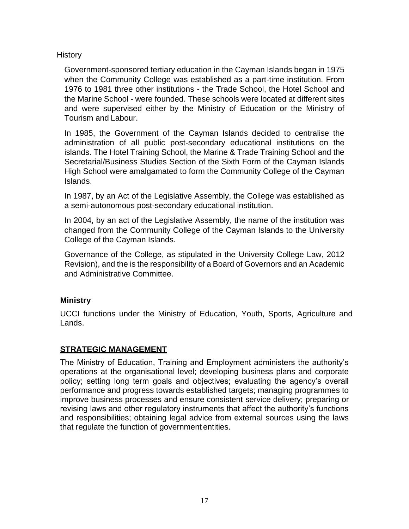## **History**

Government-sponsored tertiary education in the Cayman Islands began in 1975 when the Community College was established as a part-time institution. From 1976 to 1981 three other institutions - the Trade School, the Hotel School and the Marine School - were founded. These schools were located at different sites and were supervised either by the Ministry of Education or the Ministry of Tourism and Labour.

In 1985, the Government of the Cayman Islands decided to centralise the administration of all public post-secondary educational institutions on the islands. The Hotel Training School, the Marine & Trade Training School and the Secretarial/Business Studies Section of the Sixth Form of the Cayman Islands High School were amalgamated to form the Community College of the Cayman Islands.

In 1987, by an Act of the Legislative Assembly, the College was established as a semi-autonomous post-secondary educational institution.

In 2004, by an act of the Legislative Assembly, the name of the institution was changed from the Community College of the Cayman Islands to the University College of the Cayman Islands.

Governance of the College, as stipulated in the University College Law, 2012 Revision), and the is the responsibility of a Board of Governors and an Academic and Administrative Committee.

# **Ministry**

UCCI functions under the Ministry of Education, Youth, Sports, Agriculture and Lands.

# **STRATEGIC MANAGEMENT**

The Ministry of Education, Training and Employment administers the authority's operations at the organisational level; developing business plans and corporate policy; setting long term goals and objectives; evaluating the agency's overall performance and progress towards established targets; managing programmes to improve business processes and ensure consistent service delivery; preparing or revising laws and other regulatory instruments that affect the authority's functions and responsibilities; obtaining legal advice from external sources using the laws that regulate the function of government entities.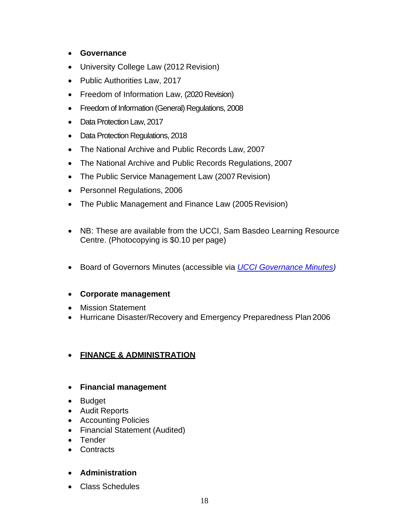- **Governance**
- University College Law (2012 Revision)
- Public Authorities Law, 2017
- Freedom of Information Law, (2020 Revision)
- Freedom of Information (General) Regulations, 2008
- Data Protection Law, 2017
- Data Protection Regulations, 2018
- The National Archive and Public Records Law, 2007
- The National Archive and Public Records Regulations, 2007
- The Public Service Management Law (2007 Revision)
- Personnel Regulations, 2006
- The Public Management and Finance Law (2005 Revision)
- NB: These are available from the UCCI, Sam Basdeo Learning Resource Centre. (Photocopying is \$0.10 per page)
- Board of Governors Minutes (accessible via *[UCCI Governance Minutes\)](https://governance.ucci.edu.ky/index.cfm?pagepath=Meetings&id=82298)*

### • **Corporate management**

- Mission Statement
- Hurricane Disaster/Recovery and Emergency Preparedness Plan 2006

### • **FINANCE & ADMINISTRATION**

- **Financial management**
- Budget
- Audit Reports
- Accounting Policies
- Financial Statement (Audited)
- Tender
- **Contracts**

### • **Administration**

• Class Schedules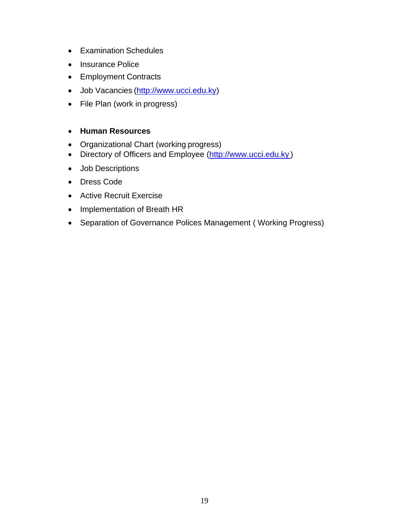- Examination Schedules
- Insurance Police
- Employment Contracts
- Job Vacancies [\(http://www.ucci.edu.ky\)](http://www.ucci.edu.ky/)
- File Plan (work in progress)

### • **Human Resources**

- Organizational Chart (working progress)
- Directory of Officers and Employee [\(http://www.ucci.edu.ky](http://www.ucci.edu.ky/))
- Job Descriptions
- Dress Code
- Active Recruit Exercise
- Implementation of Breath HR
- Separation of Governance Polices Management ( Working Progress)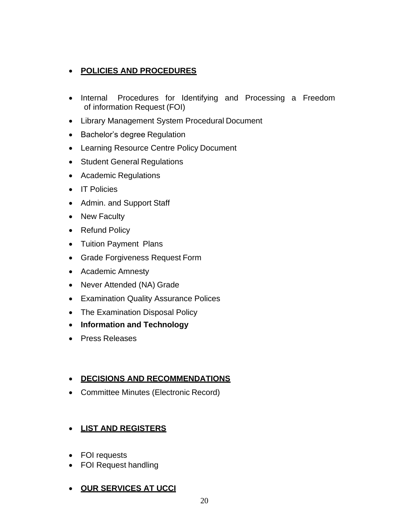# • **POLICIES AND PROCEDURES**

- Internal Procedures for Identifying and Processing a Freedom of information Request (FOI)
- Library Management System Procedural Document
- Bachelor's degree Regulation
- Learning Resource Centre Policy Document
- Student General Regulations
- Academic Regulations
- IT Policies
- Admin. and Support Staff
- New Faculty
- Refund Policy
- Tuition Payment Plans
- Grade Forgiveness Request Form
- Academic Amnesty
- Never Attended (NA) Grade
- Examination Quality Assurance Polices
- The Examination Disposal Policy
- **Information and Technology**
- Press Releases

### • **DECISIONS AND RECOMMENDATIONS**

• Committee Minutes (Electronic Record)

# • **LIST AND REGISTERS**

- FOI requests
- FOI Request handling
- **OUR SERVICES AT UCCI**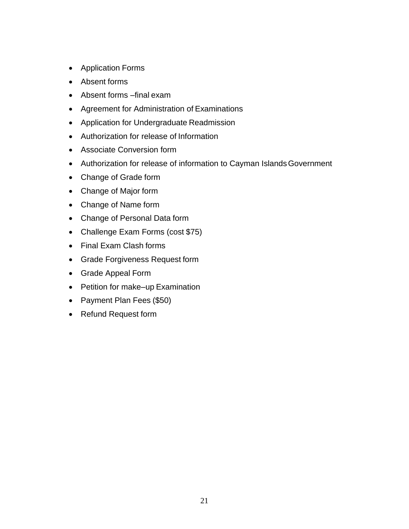- Application Forms
- Absent forms
- Absent forms –final exam
- Agreement for Administration of Examinations
- Application for Undergraduate Readmission
- Authorization for release of Information
- Associate Conversion form
- Authorization for release of information to Cayman IslandsGovernment
- Change of Grade form
- Change of Major form
- Change of Name form
- Change of Personal Data form
- Challenge Exam Forms (cost \$75)
- Final Exam Clash forms
- Grade Forgiveness Request form
- Grade Appeal Form
- Petition for make–up Examination
- Payment Plan Fees (\$50)
- Refund Request form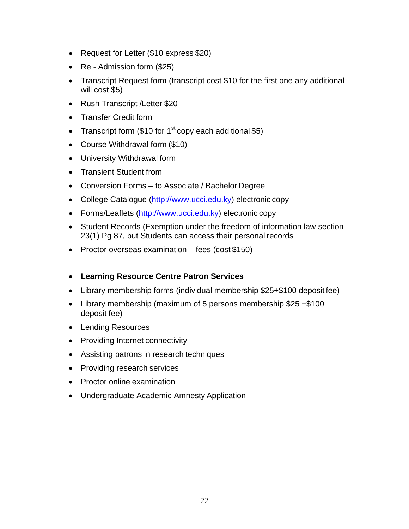- Request for Letter (\$10 express \$20)
- Re Admission form (\$25)
- Transcript Request form (transcript cost \$10 for the first one any additional will cost \$5)
- Rush Transcript /Letter \$20
- Transfer Credit form
- Transcript form (\$10 for 1<sup>st</sup> copy each additional \$5)
- Course Withdrawal form (\$10)
- University Withdrawal form
- Transient Student from
- Conversion Forms to Associate / Bachelor Degree
- College Catalogue [\(http://www.ucci.edu.ky\)](http://www.ucci.edu.ky/) electronic copy
- Forms/Leaflets [\(http://www.ucci.edu.ky\)](http://www.ucci.edu.ky/) electronic copy
- Student Records (Exemption under the freedom of information law section 23(1) Pg 87, but Students can access their personal records
- Proctor overseas examination fees (cost \$150)
- **Learning Resource Centre Patron Services**
- Library membership forms (individual membership \$25+\$100 deposit fee)
- Library membership (maximum of 5 persons membership \$25 +\$100 deposit fee)
- Lending Resources
- Providing Internet connectivity
- Assisting patrons in research techniques
- Providing research services
- Proctor online examination
- Undergraduate Academic Amnesty Application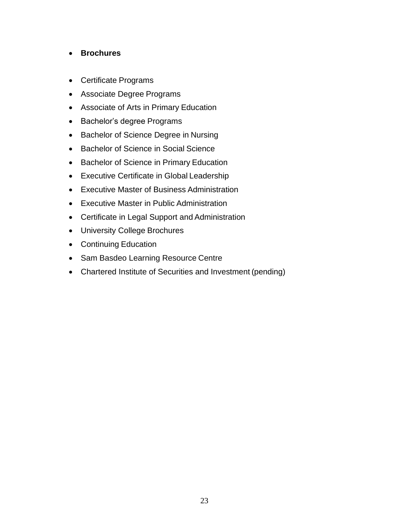# • **Brochures**

- Certificate Programs
- Associate Degree Programs
- Associate of Arts in Primary Education
- Bachelor's degree Programs
- Bachelor of Science Degree in Nursing
- Bachelor of Science in Social Science
- Bachelor of Science in Primary Education
- Executive Certificate in Global Leadership
- Executive Master of Business Administration
- Executive Master in Public Administration
- Certificate in Legal Support and Administration
- University College Brochures
- Continuing Education
- Sam Basdeo Learning Resource Centre
- Chartered Institute of Securities and Investment (pending)